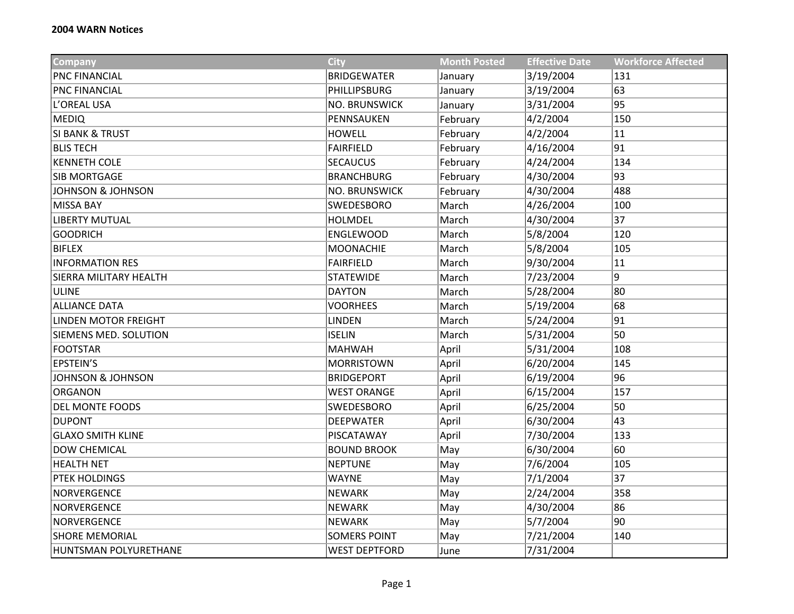| <b>Company</b>               | City                 | <b>Month Posted</b> | <b>Effective Date</b> | <b>Workforce Affected</b> |
|------------------------------|----------------------|---------------------|-----------------------|---------------------------|
| <b>PNC FINANCIAL</b>         | <b>BRIDGEWATER</b>   | January             | 3/19/2004             | 131                       |
| PNC FINANCIAL                | PHILLIPSBURG         | January             | 3/19/2004             | 63                        |
| L'OREAL USA                  | <b>NO. BRUNSWICK</b> | January             | 3/31/2004             | 95                        |
| <b>MEDIQ</b>                 | PENNSAUKEN           | February            | 4/2/2004              | 150                       |
| <b>SI BANK &amp; TRUST</b>   | <b>HOWELL</b>        | February            | 4/2/2004              | 11                        |
| <b>BLIS TECH</b>             | <b>FAIRFIELD</b>     | February            | 4/16/2004             | 91                        |
| <b>KENNETH COLE</b>          | <b>SECAUCUS</b>      | February            | 4/24/2004             | 134                       |
| SIB MORTGAGE                 | <b>BRANCHBURG</b>    | February            | 4/30/2004             | 93                        |
| <b>JOHNSON &amp; JOHNSON</b> | <b>NO. BRUNSWICK</b> | February            | 4/30/2004             | 488                       |
| <b>MISSA BAY</b>             | SWEDESBORO           | March               | 4/26/2004             | 100                       |
| <b>LIBERTY MUTUAL</b>        | <b>HOLMDEL</b>       | March               | 4/30/2004             | 37                        |
| <b>GOODRICH</b>              | <b>ENGLEWOOD</b>     | March               | 5/8/2004              | 120                       |
| <b>BIFLEX</b>                | <b>MOONACHIE</b>     | March               | 5/8/2004              | 105                       |
| <b>INFORMATION RES</b>       | <b>FAIRFIELD</b>     | March               | 9/30/2004             | 11                        |
| SIERRA MILITARY HEALTH       | <b>STATEWIDE</b>     | March               | 7/23/2004             | 9                         |
| <b>ULINE</b>                 | <b>DAYTON</b>        | March               | 5/28/2004             | 80                        |
| <b>ALLIANCE DATA</b>         | <b>VOORHEES</b>      | March               | 5/19/2004             | 68                        |
| LINDEN MOTOR FREIGHT         | <b>LINDEN</b>        | March               | 5/24/2004             | 91                        |
| SIEMENS MED. SOLUTION        | <b>ISELIN</b>        | March               | 5/31/2004             | 50                        |
| <b>FOOTSTAR</b>              | <b>MAHWAH</b>        | April               | 5/31/2004             | 108                       |
| <b>EPSTEIN'S</b>             | <b>MORRISTOWN</b>    | April               | 6/20/2004             | 145                       |
| JOHNSON & JOHNSON            | <b>BRIDGEPORT</b>    | April               | 6/19/2004             | 96                        |
| <b>ORGANON</b>               | <b>WEST ORANGE</b>   | April               | 6/15/2004             | 157                       |
| DEL MONTE FOODS              | SWEDESBORO           | April               | 6/25/2004             | 50                        |
| <b>DUPONT</b>                | <b>DEEPWATER</b>     | April               | 6/30/2004             | 43                        |
| <b>GLAXO SMITH KLINE</b>     | PISCATAWAY           | April               | 7/30/2004             | 133                       |
| <b>DOW CHEMICAL</b>          | <b>BOUND BROOK</b>   | May                 | 6/30/2004             | 60                        |
| <b>HEALTH NET</b>            | <b>NEPTUNE</b>       | May                 | 7/6/2004              | 105                       |
| PTEK HOLDINGS                | <b>WAYNE</b>         | May                 | 7/1/2004              | 37                        |
| <b>NORVERGENCE</b>           | <b>NEWARK</b>        | May                 | 2/24/2004             | 358                       |
| <b>NORVERGENCE</b>           | <b>NEWARK</b>        | May                 | 4/30/2004             | 86                        |
| <b>NORVERGENCE</b>           | <b>NEWARK</b>        | May                 | 5/7/2004              | 90                        |
| <b>SHORE MEMORIAL</b>        | <b>SOMERS POINT</b>  | May                 | 7/21/2004             | 140                       |
| HUNTSMAN POLYURETHANE        | <b>WEST DEPTFORD</b> | June                | 7/31/2004             |                           |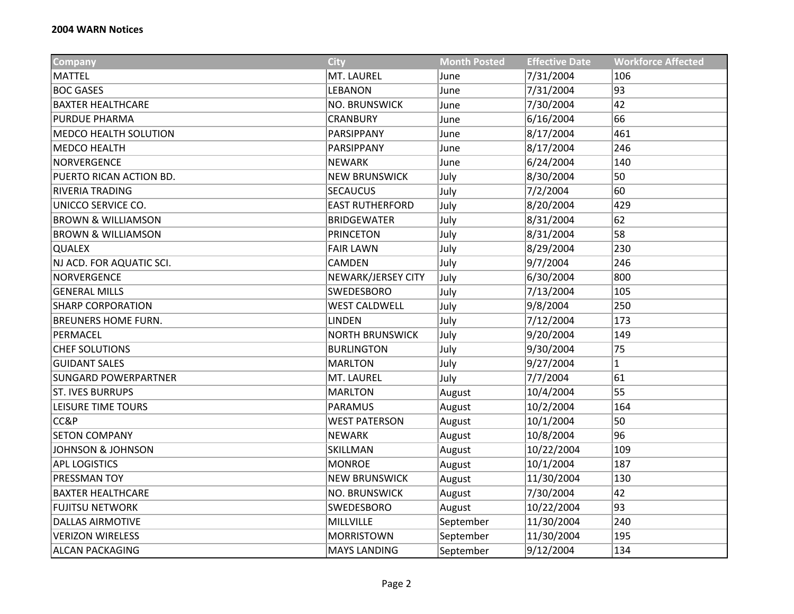| Company                       | <b>City</b>            | <b>Month Posted</b> | <b>Effective Date</b> | <b>Workforce Affected</b> |
|-------------------------------|------------------------|---------------------|-----------------------|---------------------------|
| <b>MATTEL</b>                 | MT. LAUREL             | June                | 7/31/2004             | 106                       |
| <b>BOC GASES</b>              | <b>LEBANON</b>         | June                | 7/31/2004             | 93                        |
| <b>BAXTER HEALTHCARE</b>      | <b>NO. BRUNSWICK</b>   | June                | 7/30/2004             | 42                        |
| <b>PURDUE PHARMA</b>          | <b>CRANBURY</b>        | June                | 6/16/2004             | 66                        |
| <b>MEDCO HEALTH SOLUTION</b>  | PARSIPPANY             | June                | 8/17/2004             | 461                       |
| <b>MEDCO HEALTH</b>           | PARSIPPANY             | June                | 8/17/2004             | 246                       |
| <b>NORVERGENCE</b>            | <b>NEWARK</b>          | June                | 6/24/2004             | 140                       |
| PUERTO RICAN ACTION BD.       | <b>NEW BRUNSWICK</b>   | July                | 8/30/2004             | 50                        |
| RIVERIA TRADING               | <b>SECAUCUS</b>        | July                | 7/2/2004              | 60                        |
| UNICCO SERVICE CO.            | <b>EAST RUTHERFORD</b> | July                | 8/20/2004             | 429                       |
| <b>BROWN &amp; WILLIAMSON</b> | <b>BRIDGEWATER</b>     | July                | 8/31/2004             | 62                        |
| <b>BROWN &amp; WILLIAMSON</b> | <b>PRINCETON</b>       | July                | 8/31/2004             | 58                        |
| <b>QUALEX</b>                 | <b>FAIR LAWN</b>       | July                | 8/29/2004             | 230                       |
| NJ ACD. FOR AQUATIC SCI.      | CAMDEN                 | July                | 9/7/2004              | 246                       |
| <b>NORVERGENCE</b>            | NEWARK/JERSEY CITY     | July                | 6/30/2004             | 800                       |
| <b>GENERAL MILLS</b>          | SWEDESBORO             | July                | 7/13/2004             | 105                       |
| <b>SHARP CORPORATION</b>      | <b>WEST CALDWELL</b>   | July                | 9/8/2004              | 250                       |
| <b>BREUNERS HOME FURN.</b>    | <b>LINDEN</b>          | July                | 7/12/2004             | 173                       |
| PERMACEL                      | <b>NORTH BRUNSWICK</b> | July                | 9/20/2004             | 149                       |
| <b>CHEF SOLUTIONS</b>         | <b>BURLINGTON</b>      | July                | 9/30/2004             | 75                        |
| <b>GUIDANT SALES</b>          | <b>MARLTON</b>         | July                | 9/27/2004             | $\mathbf{1}$              |
| <b>SUNGARD POWERPARTNER</b>   | MT. LAUREL             | July                | 7/7/2004              | 61                        |
| <b>ST. IVES BURRUPS</b>       | <b>MARLTON</b>         | August              | 10/4/2004             | 55                        |
| LEISURE TIME TOURS            | <b>PARAMUS</b>         | August              | 10/2/2004             | 164                       |
| CC&P                          | <b>WEST PATERSON</b>   | August              | 10/1/2004             | 50                        |
| <b>SETON COMPANY</b>          | <b>NEWARK</b>          | August              | 10/8/2004             | 96                        |
| <b>JOHNSON &amp; JOHNSON</b>  | SKILLMAN               | August              | 10/22/2004            | 109                       |
| <b>APL LOGISTICS</b>          | <b>MONROE</b>          | August              | 10/1/2004             | 187                       |
| PRESSMAN TOY                  | <b>NEW BRUNSWICK</b>   | August              | 11/30/2004            | 130                       |
| <b>BAXTER HEALTHCARE</b>      | <b>NO. BRUNSWICK</b>   | August              | 7/30/2004             | 42                        |
| <b>FUJITSU NETWORK</b>        | SWEDESBORO             | August              | 10/22/2004            | 93                        |
| <b>DALLAS AIRMOTIVE</b>       | MILLVILLE              | September           | 11/30/2004            | 240                       |
| <b>VERIZON WIRELESS</b>       | <b>MORRISTOWN</b>      | September           | 11/30/2004            | 195                       |
| <b>ALCAN PACKAGING</b>        | <b>MAYS LANDING</b>    | September           | 9/12/2004             | 134                       |